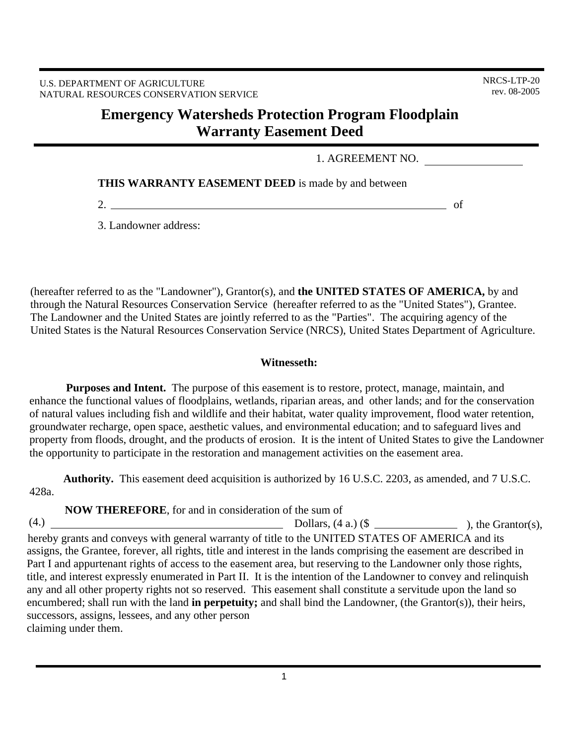# **Emergency Watersheds Protection Program Floodplain Warranty Easement Deed**

1. AGREEMENT NO.

**THIS WARRANTY EASEMENT DEED** is made by and between

2.  $\qquad \qquad$  of

3. Landowner address:

(hereafter referred to as the "Landowner"), Grantor(s), and **the UNITED STATES OF AMERICA,** by and through the Natural Resources Conservation Service (hereafter referred to as the "United States"), Grantee. The Landowner and the United States are jointly referred to as the "Parties". The acquiring agency of the United States is the Natural Resources Conservation Service (NRCS), United States Department of Agriculture.

### **Witnesseth:**

 **Purposes and Intent.** The purpose of this easement is to restore, protect, manage, maintain, and enhance the functional values of floodplains, wetlands, riparian areas, and other lands; and for the conservation of natural values including fish and wildlife and their habitat, water quality improvement, flood water retention, groundwater recharge, open space, aesthetic values, and environmental education; and to safeguard lives and property from floods, drought, and the products of erosion. It is the intent of United States to give the Landowner the opportunity to participate in the restoration and management activities on the easement area.

 **Authority.** This easement deed acquisition is authorized by 16 U.S.C. 2203, as amended, and 7 U.S.C. 428a.

**NOW THEREFORE**, for and in consideration of the sum of

assigns, the Grantee, forever, all rights, title and interest in the lands comprising the easement are described in Part I and appurtenant rights of access to the easement area, but reserving to the Landowner only those rights, title, and interest expressly enumerated in Part II. It is the intention of the Landowner to convey and relinquish any and all other property rights not so reserved. This easement shall constitute a servitude upon the land so encumbered; shall run with the land **in perpetuity;** and shall bind the Landowner, (the Grantor(s)), their heirs, successors, assigns, lessees, and any other person claiming under them. hereby grants and conveys with general warranty of title to the UNITED STATES OF AMERICA and its (4.)  $\qquad \qquad \text{Dollars, (4 a.)} (\$ \_ \text{2.3})$ , the Grantor(s),

1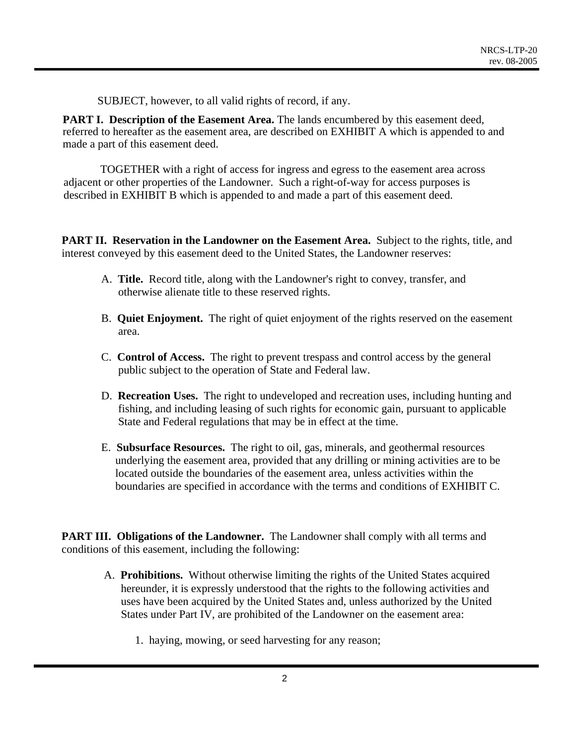SUBJECT, however, to all valid rights of record, if any.

**PART I. Description of the Easement Area.** The lands encumbered by this easement deed, referred to hereafter as the easement area, are described on EXHIBIT A which is appended to and made a part of this easement deed.

 TOGETHER with a right of access for ingress and egress to the easement area across adjacent or other properties of the Landowner. Such a right-of-way for access purposes is described in EXHIBIT B which is appended to and made a part of this easement deed.

**PART II. Reservation in the Landowner on the Easement Area.** Subject to the rights, title, and interest conveyed by this easement deed to the United States, the Landowner reserves:

- A. **Title.** Record title, along with the Landowner's right to convey, transfer, and otherwise alienate title to these reserved rights.
- B. **Quiet Enjoyment.** The right of quiet enjoyment of the rights reserved on the easement area.
- C. **Control of Access.** The right to prevent trespass and control access by the general public subject to the operation of State and Federal law.
- D. **Recreation Uses.** The right to undeveloped and recreation uses, including hunting and fishing, and including leasing of such rights for economic gain, pursuant to applicable State and Federal regulations that may be in effect at the time.
- E. **Subsurface Resources.** The right to oil, gas, minerals, and geothermal resources underlying the easement area, provided that any drilling or mining activities are to be located outside the boundaries of the easement area, unless activities within the boundaries are specified in accordance with the terms and conditions of EXHIBIT C.

**PART III. Obligations of the Landowner.** The Landowner shall comply with all terms and conditions of this easement, including the following:

- A. **Prohibitions.** Without otherwise limiting the rights of the United States acquired hereunder, it is expressly understood that the rights to the following activities and uses have been acquired by the United States and, unless authorized by the United States under Part IV, are prohibited of the Landowner on the easement area:
	- 1. haying, mowing, or seed harvesting for any reason;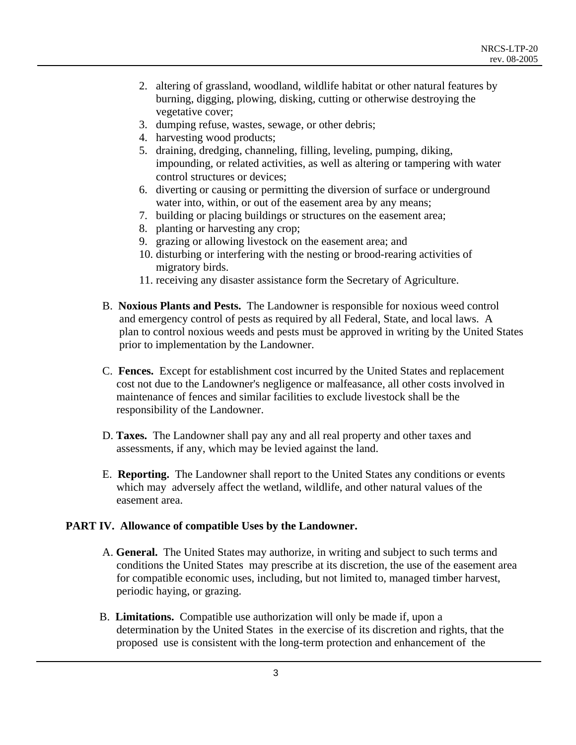- 2. altering of grassland, woodland, wildlife habitat or other natural features by burning, digging, plowing, disking, cutting or otherwise destroying the vegetative cover;
- 3. dumping refuse, wastes, sewage, or other debris;
- 4. harvesting wood products;
- 5. draining, dredging, channeling, filling, leveling, pumping, diking, impounding, or related activities, as well as altering or tampering with water control structures or devices;
- 6. diverting or causing or permitting the diversion of surface or underground water into, within, or out of the easement area by any means;
- 7. building or placing buildings or structures on the easement area;
- 8. planting or harvesting any crop;
- 9. grazing or allowing livestock on the easement area; and
- 10. disturbing or interfering with the nesting or brood-rearing activities of migratory birds.
- 11. receiving any disaster assistance form the Secretary of Agriculture.
- B. **Noxious Plants and Pests.** The Landowner is responsible for noxious weed control and emergency control of pests as required by all Federal, State, and local laws. A plan to control noxious weeds and pests must be approved in writing by the United States prior to implementation by the Landowner.
- C. **Fences.** Except for establishment cost incurred by the United States and replacement cost not due to the Landowner's negligence or malfeasance, all other costs involved in maintenance of fences and similar facilities to exclude livestock shall be the responsibility of the Landowner.
- D. **Taxes.** The Landowner shall pay any and all real property and other taxes and assessments, if any, which may be levied against the land.
- E. **Reporting.** The Landowner shall report to the United States any conditions or events which may adversely affect the wetland, wildlife, and other natural values of the easement area.

### **PART IV. Allowance of compatible Uses by the Landowner.**

- A. **General.** The United States may authorize, in writing and subject to such terms and conditions the United States may prescribe at its discretion, the use of the easement area for compatible economic uses, including, but not limited to, managed timber harvest, periodic haying, or grazing.
- B. **Limitations.** Compatible use authorization will only be made if, upon a determination by the United States in the exercise of its discretion and rights, that the proposed use is consistent with the long-term protection and enhancement of the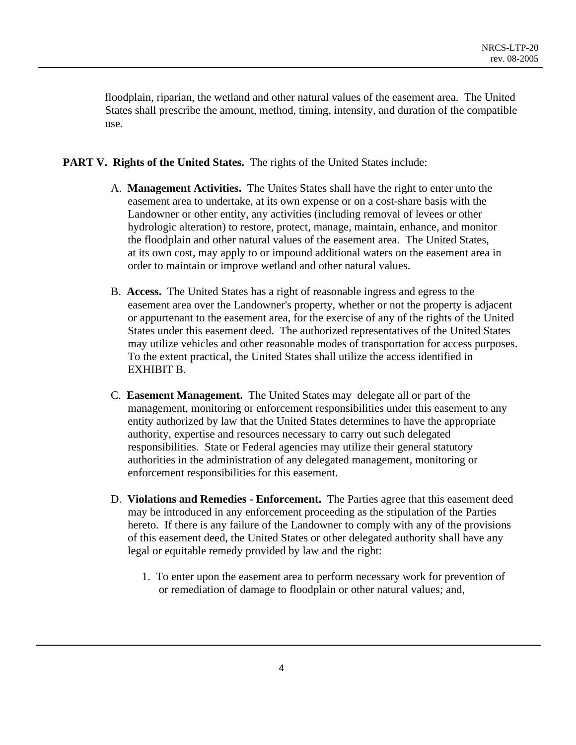floodplain, riparian, the wetland and other natural values of the easement area. The United States shall prescribe the amount, method, timing, intensity, and duration of the compatible use.

### **PART V. Rights of the United States.** The rights of the United States include:

- A. **Management Activities.** The Unites States shall have the right to enter unto the easement area to undertake, at its own expense or on a cost-share basis with the Landowner or other entity, any activities (including removal of levees or other hydrologic alteration) to restore, protect, manage, maintain, enhance, and monitor the floodplain and other natural values of the easement area. The United States, at its own cost, may apply to or impound additional waters on the easement area in order to maintain or improve wetland and other natural values.
- B. **Access.** The United States has a right of reasonable ingress and egress to the easement area over the Landowner's property, whether or not the property is adjacent or appurtenant to the easement area, for the exercise of any of the rights of the United States under this easement deed. The authorized representatives of the United States may utilize vehicles and other reasonable modes of transportation for access purposes. To the extent practical, the United States shall utilize the access identified in EXHIBIT B.
- C. **Easement Management.** The United States may delegate all or part of the management, monitoring or enforcement responsibilities under this easement to any entity authorized by law that the United States determines to have the appropriate authority, expertise and resources necessary to carry out such delegated responsibilities. State or Federal agencies may utilize their general statutory authorities in the administration of any delegated management, monitoring or enforcement responsibilities for this easement.
- D. **Violations and Remedies Enforcement.** The Parties agree that this easement deed may be introduced in any enforcement proceeding as the stipulation of the Parties hereto. If there is any failure of the Landowner to comply with any of the provisions of this easement deed, the United States or other delegated authority shall have any legal or equitable remedy provided by law and the right:
	- 1. To enter upon the easement area to perform necessary work for prevention of or remediation of damage to floodplain or other natural values; and,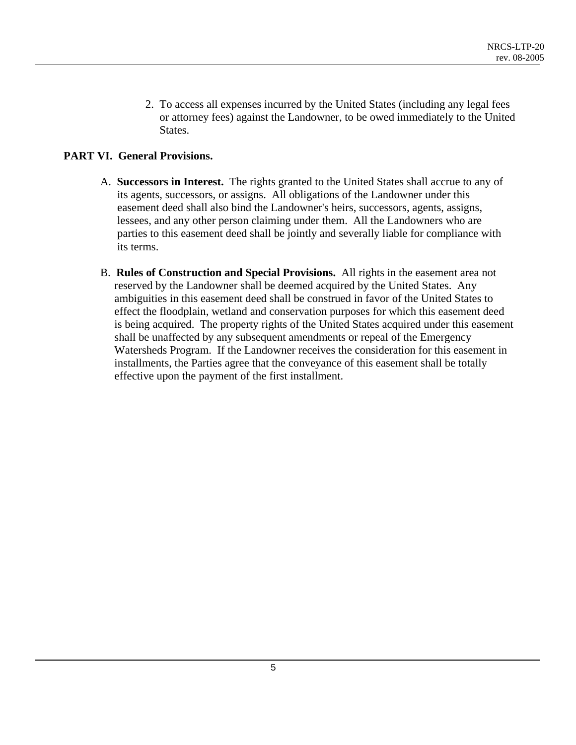2. To access all expenses incurred by the United States (including any legal fees or attorney fees) against the Landowner, to be owed immediately to the United States.

# **PART VI. General Provisions.**

- A. **Successors in Interest.** The rights granted to the United States shall accrue to any of its agents, successors, or assigns. All obligations of the Landowner under this easement deed shall also bind the Landowner's heirs, successors, agents, assigns, lessees, and any other person claiming under them. All the Landowners who are parties to this easement deed shall be jointly and severally liable for compliance with its terms.
- B. **Rules of Construction and Special Provisions.** All rights in the easement area not reserved by the Landowner shall be deemed acquired by the United States. Any ambiguities in this easement deed shall be construed in favor of the United States to effect the floodplain, wetland and conservation purposes for which this easement deed is being acquired. The property rights of the United States acquired under this easement shall be unaffected by any subsequent amendments or repeal of the Emergency Watersheds Program. If the Landowner receives the consideration for this easement in installments, the Parties agree that the conveyance of this easement shall be totally effective upon the payment of the first installment.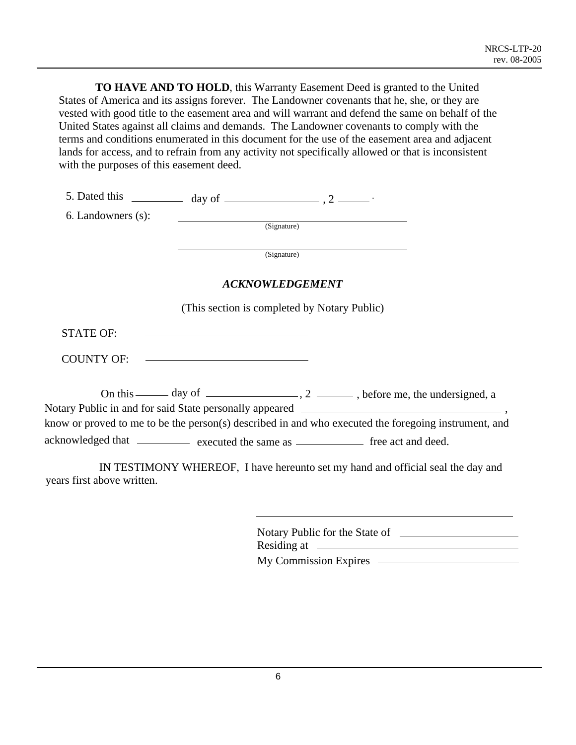**TO HAVE AND TO HOLD**, this Warranty Easement Deed is granted to the United States of America and its assigns forever. The Landowner covenants that he, she, or they are vested with good title to the easement area and will warrant and defend the same on behalf of the United States against all claims and demands. The Landowner covenants to comply with the terms and conditions enumerated in this document for the use of the easement area and adjacent lands for access, and to refrain from any activity not specifically allowed or that is inconsistent with the purposes of this easement deed.

|                                                                                       | 5. Dated this $\frac{1}{2}$ day of $\frac{1}{2}$ , 2 $\frac{1}{2}$ |                        |                                                                                                      |
|---------------------------------------------------------------------------------------|--------------------------------------------------------------------|------------------------|------------------------------------------------------------------------------------------------------|
| 6. Landowners (s):                                                                    |                                                                    |                        |                                                                                                      |
|                                                                                       | (Signature)                                                        |                        |                                                                                                      |
|                                                                                       |                                                                    | (Signature)            |                                                                                                      |
|                                                                                       |                                                                    | <b>ACKNOWLEDGEMENT</b> |                                                                                                      |
|                                                                                       | (This section is completed by Notary Public)                       |                        |                                                                                                      |
| <b>STATE OF:</b>                                                                      | <u> 1989 - Andrea Stadt, fransk politiker (d. 1989)</u>            |                        |                                                                                                      |
|                                                                                       | COUNTY OF: ————————————————                                        |                        |                                                                                                      |
|                                                                                       |                                                                    |                        | On this $\_\_\_\_$ day of $\_\_\_\_\_\_$ , 2 $\_\_\_\_\_\_$ , before me, the undersigned, a          |
|                                                                                       |                                                                    |                        | know or proved to me to be the person(s) described in and who executed the foregoing instrument, and |
| acknowledged that ____________ executed the same as ______________ free act and deed. |                                                                    |                        |                                                                                                      |
| years first above written.                                                            |                                                                    |                        | IN TESTIMONY WHEREOF, I have hereunto set my hand and official seal the day and                      |

| Notary Public for the State of |  |
|--------------------------------|--|
| Residing at $\equiv$           |  |
| <b>My Commission Expires</b>   |  |